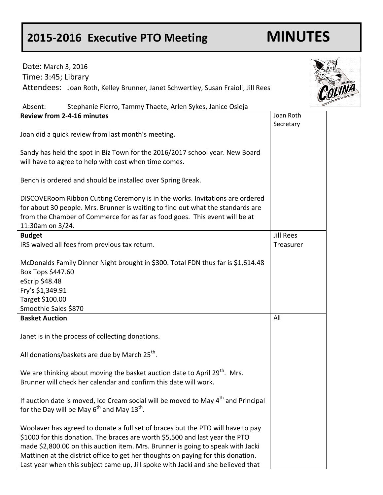## **2015-2016 Executive PTO Meeting MINUTES**

| Date: March 3, 2016                                                                                                                                                                                                                                                                                                                                                                                                        |                         |
|----------------------------------------------------------------------------------------------------------------------------------------------------------------------------------------------------------------------------------------------------------------------------------------------------------------------------------------------------------------------------------------------------------------------------|-------------------------|
| Time: 3:45; Library                                                                                                                                                                                                                                                                                                                                                                                                        |                         |
| Attendees: Joan Roth, Kelley Brunner, Janet Schwertley, Susan Fraioli, Jill Rees                                                                                                                                                                                                                                                                                                                                           | Concept Concept Concept |
| Absent:<br>Stephanie Fierro, Tammy Thaete, Arlen Sykes, Janice Osieja                                                                                                                                                                                                                                                                                                                                                      |                         |
| <b>Review from 2-4-16 minutes</b>                                                                                                                                                                                                                                                                                                                                                                                          | Joan Roth<br>Secretary  |
| Joan did a quick review from last month's meeting.                                                                                                                                                                                                                                                                                                                                                                         |                         |
| Sandy has held the spot in Biz Town for the 2016/2017 school year. New Board<br>will have to agree to help with cost when time comes.                                                                                                                                                                                                                                                                                      |                         |
| Bench is ordered and should be installed over Spring Break.                                                                                                                                                                                                                                                                                                                                                                |                         |
| DISCOVERoom Ribbon Cutting Ceremony is in the works. Invitations are ordered<br>for about 30 people. Mrs. Brunner is waiting to find out what the standards are<br>from the Chamber of Commerce for as far as food goes. This event will be at<br>11:30am on 3/24.                                                                                                                                                         |                         |
| <b>Budget</b>                                                                                                                                                                                                                                                                                                                                                                                                              | <b>Jill Rees</b>        |
| IRS waived all fees from previous tax return.                                                                                                                                                                                                                                                                                                                                                                              | Treasurer               |
| McDonalds Family Dinner Night brought in \$300. Total FDN thus far is \$1,614.48<br>Box Tops \$447.60<br>eScrip \$48.48                                                                                                                                                                                                                                                                                                    |                         |
| Fry's \$1,349.91                                                                                                                                                                                                                                                                                                                                                                                                           |                         |
| Target \$100.00                                                                                                                                                                                                                                                                                                                                                                                                            |                         |
| Smoothie Sales \$870                                                                                                                                                                                                                                                                                                                                                                                                       |                         |
| <b>Basket Auction</b>                                                                                                                                                                                                                                                                                                                                                                                                      | All                     |
| Janet is in the process of collecting donations.                                                                                                                                                                                                                                                                                                                                                                           |                         |
| All donations/baskets are due by March 25 <sup>th</sup> .                                                                                                                                                                                                                                                                                                                                                                  |                         |
| We are thinking about moving the basket auction date to April 29 <sup>th</sup> . Mrs.<br>Brunner will check her calendar and confirm this date will work.                                                                                                                                                                                                                                                                  |                         |
| If auction date is moved, Ice Cream social will be moved to May 4 <sup>th</sup> and Principal<br>for the Day will be May $6^{th}$ and May $13^{th}$ .                                                                                                                                                                                                                                                                      |                         |
| Woolaver has agreed to donate a full set of braces but the PTO will have to pay<br>\$1000 for this donation. The braces are worth \$5,500 and last year the PTO<br>made \$2,800.00 on this auction item. Mrs. Brunner is going to speak with Jacki<br>Mattinen at the district office to get her thoughts on paying for this donation.<br>Last year when this subject came up, Jill spoke with Jacki and she believed that |                         |